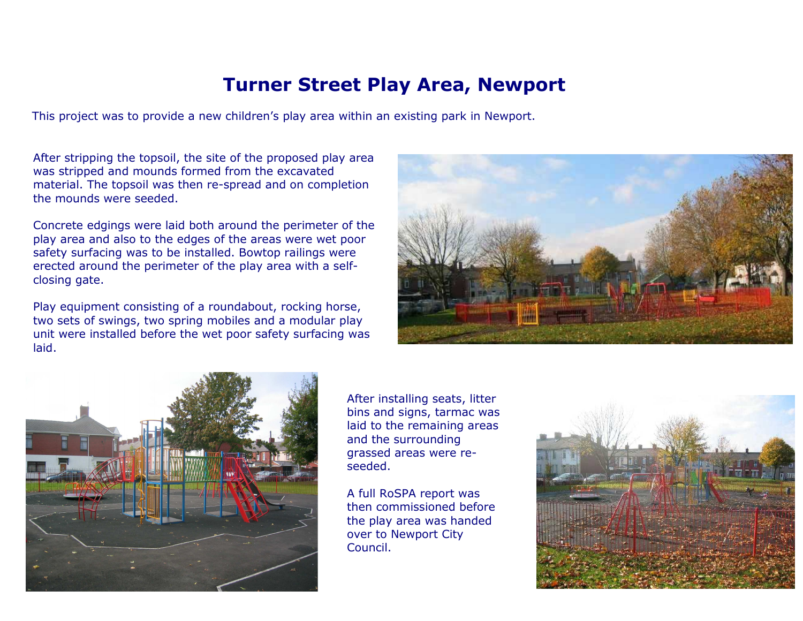## Turner Street Play Area, Newport

This project was to provide a new children's play area within an existing park in Newport.

After stripping the topsoil, the site of the proposed play areawas stripped and mounds formed from the excavated material. The topsoil was then re-spread and on completionthe mounds were seeded.

Concrete edgings were laid both around the perimeter of the play area and also to the edges of the areas were wet poorsafety surfacing was to be installed. Bowtop railings were erected around the perimeter of the play area with a selfclosing gate.

Play equipment consisting of a roundabout, rocking horse, two sets of swings, two spring mobiles and a modular play unit were installed before the wet poor safety surfacing waslaid.





After installing seats, litter bins and signs, tarmac was laid to the remaining areasand the surrounding grassed areas were reseeded.

A full RoSPA report was then commissioned before the play area was handedover to Newport CityCouncil.